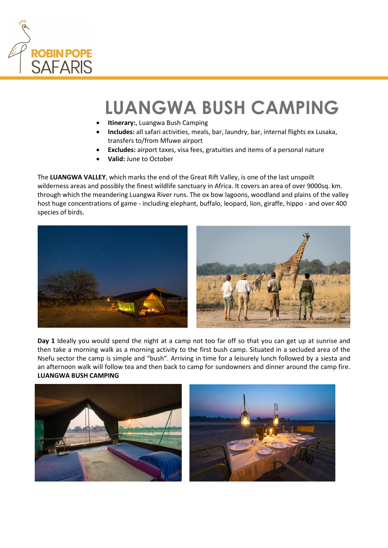

## **LUANGWA BUSH CAMPING**

- **Itinerary:**, Luangwa Bush Camping
- **Includes:** all safari activities, meals, bar, laundry, bar, internal flights ex Lusaka, transfers to/from Mfuwe airport
- **Excludes:** airport taxes, visa fees, gratuities and items of a personal nature
- **Valid:** June to October

The **LUANGWA VALLEY**, which marks the end of the Great Rift Valley, is one of the last unspoilt wilderness areas and possibly the finest wildlife sanctuary in Africa. It covers an area of over 9000sq. km. through which the meandering Luangwa River runs. The ox bow lagoons, woodland and plains of the valley host huge concentrations of game - including elephant, buffalo, leopard, lion, giraffe, hippo - and over 400 species of birds.



**Day 1** Ideally you would spend the night at a camp not too far off so that you can get up at sunrise and then take a morning walk as a morning activity to the first bush camp. Situated in a secluded area of the Nsefu sector the camp is simple and "bush". Arriving in time for a leisurely lunch followed by a siesta and an afternoon walk will follow tea and then back to camp for sundowners and dinner around the camp fire. **LUANGWA BUSH CAMPING**